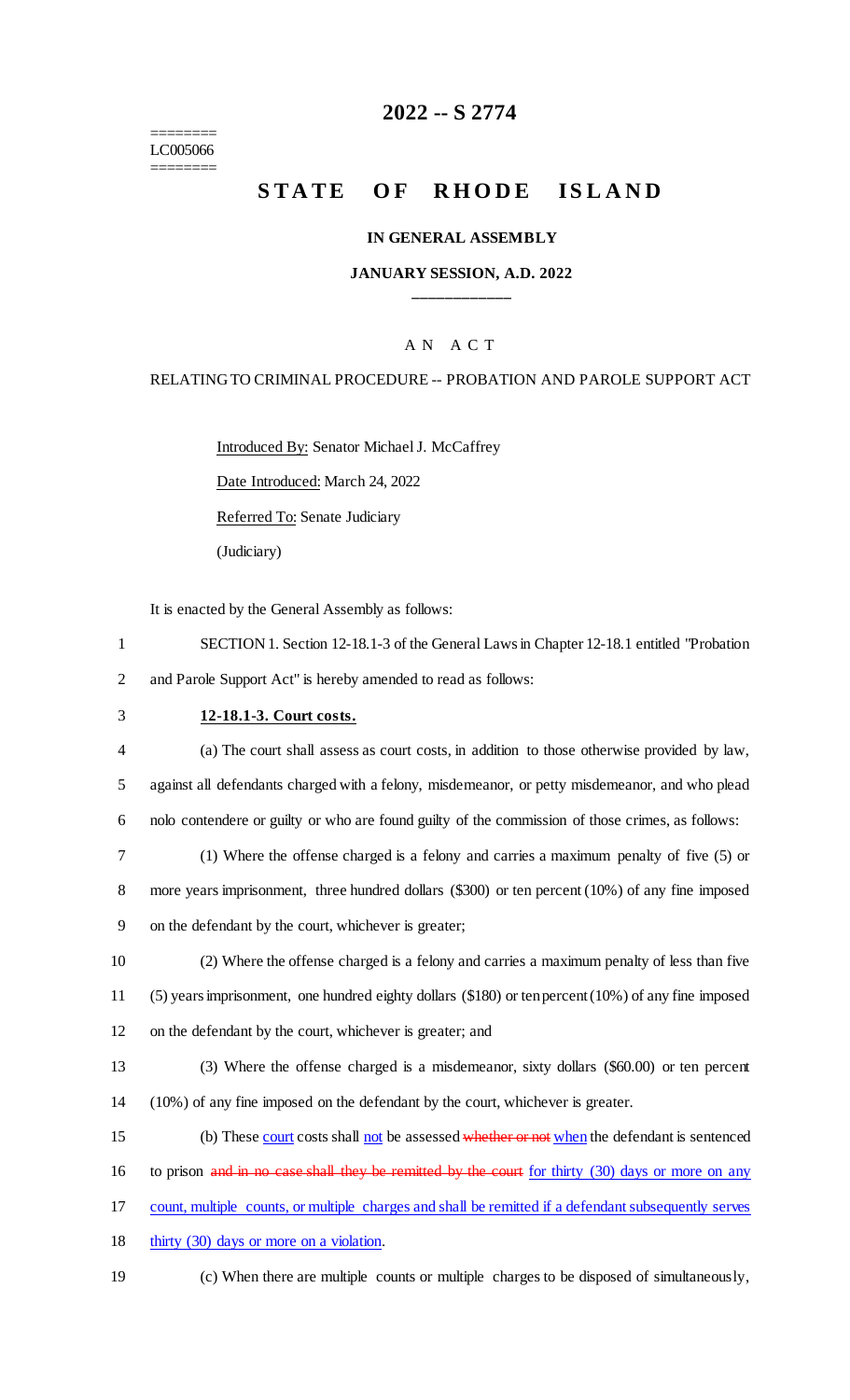======== LC005066 ========

# **2022 -- S 2774**

# **STATE OF RHODE ISLAND**

### **IN GENERAL ASSEMBLY**

### **JANUARY SESSION, A.D. 2022 \_\_\_\_\_\_\_\_\_\_\_\_**

### A N A C T

#### RELATING TO CRIMINAL PROCEDURE -- PROBATION AND PAROLE SUPPORT ACT

Introduced By: Senator Michael J. McCaffrey

Date Introduced: March 24, 2022

Referred To: Senate Judiciary

(Judiciary)

It is enacted by the General Assembly as follows:

- 1 SECTION 1. Section 12-18.1-3 of the General Laws in Chapter 12-18.1 entitled "Probation 2 and Parole Support Act" is hereby amended to read as follows:
- 

### 3 **12-18.1-3. Court costs.**

4 (a) The court shall assess as court costs, in addition to those otherwise provided by law, 5 against all defendants charged with a felony, misdemeanor, or petty misdemeanor, and who plead 6 nolo contendere or guilty or who are found guilty of the commission of those crimes, as follows:

7 (1) Where the offense charged is a felony and carries a maximum penalty of five (5) or 8 more years imprisonment, three hundred dollars (\$300) or ten percent (10%) of any fine imposed 9 on the defendant by the court, whichever is greater;

10 (2) Where the offense charged is a felony and carries a maximum penalty of less than five 11 (5) years imprisonment, one hundred eighty dollars (\$180) or ten percent (10%) of any fine imposed 12 on the defendant by the court, whichever is greater; and

13 (3) Where the offense charged is a misdemeanor, sixty dollars (\$60.00) or ten percent 14 (10%) of any fine imposed on the defendant by the court, whichever is greater.

15 (b) These court costs shall not be assessed whether or not when the defendant is sentenced

- 16 to prison and in no case shall they be remitted by the court for thirty (30) days or more on any
- 17 count, multiple counts, or multiple charges and shall be remitted if a defendant subsequently serves
- 18 thirty (30) days or more on a violation.
- 19 (c) When there are multiple counts or multiple charges to be disposed of simultaneously,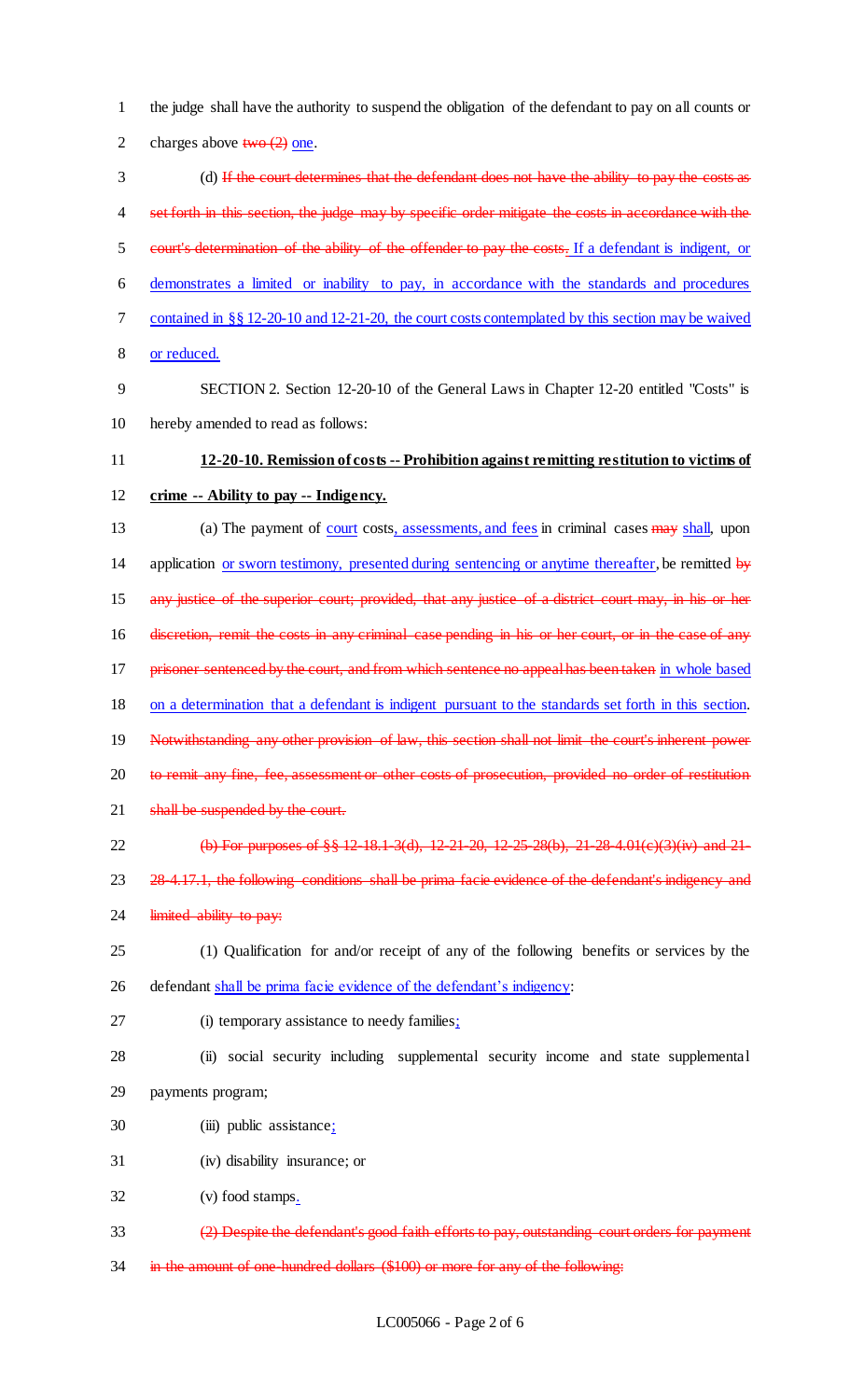2 charges above  $two (2)$  one. 3 (d) If the court determines that the defendant does not have the ability to pay the costs as 4 set forth in this section, the judge may by specific order mitigate the costs in accordance with the 5 court's determination of the ability of the offender to pay the costs. If a defendant is indigent, or 6 demonstrates a limited or inability to pay, in accordance with the standards and procedures 7 contained in §§ 12-20-10 and 12-21-20, the court costs contemplated by this section may be waived 8 or reduced. 9 SECTION 2. Section 12-20-10 of the General Laws in Chapter 12-20 entitled "Costs" is 10 hereby amended to read as follows: 11 **12-20-10. Remission of costs -- Prohibition against remitting restitution to victims of**  12 **crime -- Ability to pay -- Indigency.** 13 (a) The payment of court costs, assessments, and fees in criminal cases may shall, upon 14 application or sworn testimony, presented during sentencing or anytime thereafter, be remitted by 15 any justice of the superior court; provided, that any justice of a district court may, in his or her 16 discretion, remit the costs in any criminal case pending in his or her court, or in the case of any 17 prisoner sentenced by the court, and from which sentence no appeal has been taken in whole based 18 on a determination that a defendant is indigent pursuant to the standards set forth in this section. 19 Notwithstanding any other provision of law, this section shall not limit the court's inherent power 20 to remit any fine, fee, assessment or other costs of prosecution, provided no order of restitution 21 shall be suspended by the court. 22 (b) For purposes of §§ 12-18.1-3(d), 12-21-20, 12-25-28(b), 21-28-4.01(c)(3)(iv) and 21-23 28-4.17.1, the following conditions shall be prima facie evidence of the defendant's indigency and 24 limited ability to pay: 25 (1) Qualification for and/or receipt of any of the following benefits or services by the 26 defendant shall be prima facie evidence of the defendant's indigency: 27 (i) temporary assistance to needy families; 28 (ii) social security including supplemental security income and state supplemental 29 payments program; 30 (iii) public assistance; 31 (iv) disability insurance; or 32 (v) food stamps. 33 (2) Despite the defendant's good faith efforts to pay, outstanding court orders for payment

1 the judge shall have the authority to suspend the obligation of the defendant to pay on all counts or

34 in the amount of one-hundred dollars (\$100) or more for any of the following: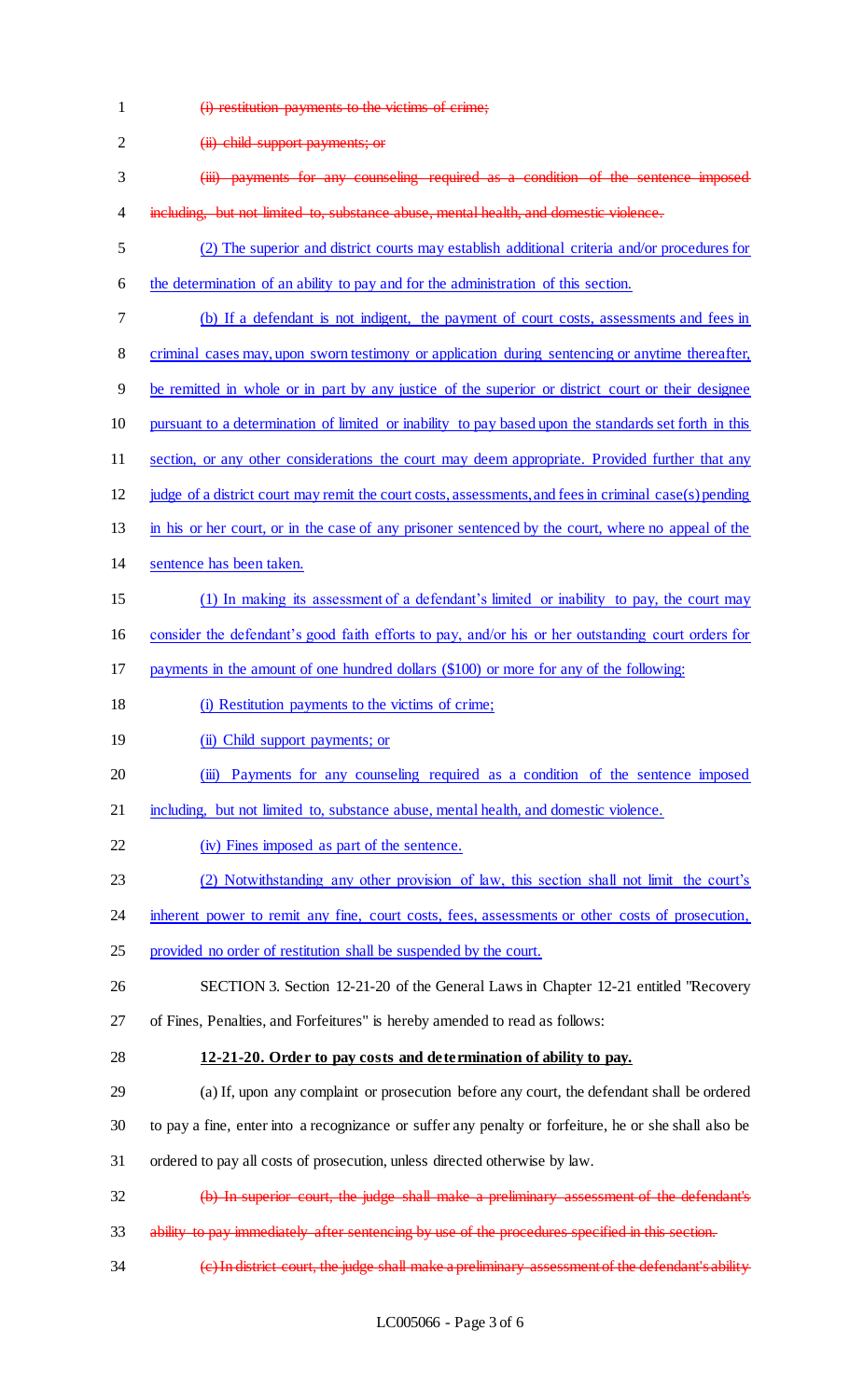- (i) restitution payments to the victims of crime; 2 (ii) child support payments; or (iii) payments for any counseling required as a condition of the sentence imposed 4 including, but not limited to, substance abuse, mental health, and domestic violence. (2) The superior and district courts may establish additional criteria and/or procedures for the determination of an ability to pay and for the administration of this section. (b) If a defendant is not indigent, the payment of court costs, assessments and fees in 8 criminal cases may, upon sworn testimony or application during sentencing or anytime thereafter, be remitted in whole or in part by any justice of the superior or district court or their designee pursuant to a determination of limited or inability to pay based upon the standards set forth in this 11 section, or any other considerations the court may deem appropriate. Provided further that any judge of a district court may remit the court costs, assessments, and fees in criminal case(s) pending in his or her court, or in the case of any prisoner sentenced by the court, where no appeal of the sentence has been taken. (1) In making its assessment of a defendant's limited or inability to pay, the court may consider the defendant's good faith efforts to pay, and/or his or her outstanding court orders for payments in the amount of one hundred dollars (\$100) or more for any of the following: (i) Restitution payments to the victims of crime; **(ii)** Child support payments; or 20 (iii) Payments for any counseling required as a condition of the sentence imposed including, but not limited to, substance abuse, mental health, and domestic violence. (iv) Fines imposed as part of the sentence. (2) Notwithstanding any other provision of law, this section shall not limit the court's 24 inherent power to remit any fine, court costs, fees, assessments or other costs of prosecution, provided no order of restitution shall be suspended by the court. SECTION 3. Section 12-21-20 of the General Laws in Chapter 12-21 entitled "Recovery of Fines, Penalties, and Forfeitures" is hereby amended to read as follows: **12-21-20. Order to pay costs and determination of ability to pay.** (a) If, upon any complaint or prosecution before any court, the defendant shall be ordered to pay a fine, enter into a recognizance or suffer any penalty or forfeiture, he or she shall also be
- ordered to pay all costs of prosecution, unless directed otherwise by law.
- (b) In superior court, the judge shall make a preliminary assessment of the defendant's
- 33 ability to pay immediately after sentencing by use of the procedures specified in this section.
- (c) In district court, the judge shall make a preliminary assessment of the defendant's ability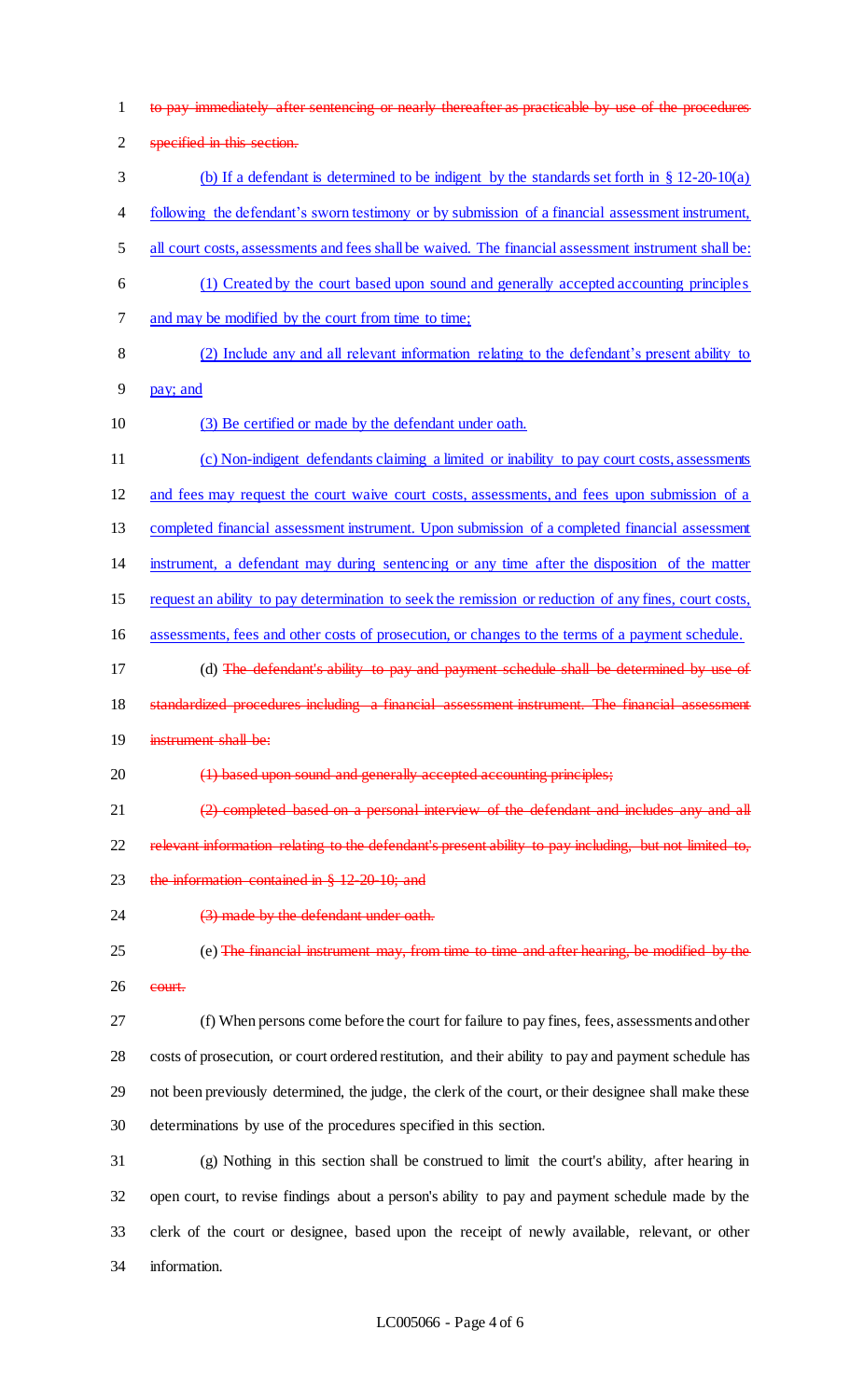to pay immediately after sentencing or nearly thereafter as practicable by use of the procedures specified in this section. (b) If a defendant is determined to be indigent by the standards set forth in § 12-20-10(a) following the defendant's sworn testimony or by submission of a financial assessment instrument, all court costs, assessments and fees shall be waived. The financial assessment instrument shall be: (1) Created by the court based upon sound and generally accepted accounting principles and may be modified by the court from time to time; (2) Include any and all relevant information relating to the defendant's present ability to pay; and (3) Be certified or made by the defendant under oath. (c) Non-indigent defendants claiming a limited or inability to pay court costs, assessments and fees may request the court waive court costs, assessments, and fees upon submission of a completed financial assessment instrument. Upon submission of a completed financial assessment instrument, a defendant may during sentencing or any time after the disposition of the matter request an ability to pay determination to seek the remission or reduction of any fines, court costs, assessments, fees and other costs of prosecution, or changes to the terms of a payment schedule. 17 (d) The defendant's ability to pay and payment schedule shall be determined by use of 18 standardized procedures including a financial assessment instrument. The financial assessment instrument shall be: 20 (1) based upon sound and generally accepted accounting principles; (2) completed based on a personal interview of the defendant and includes any and all 22 relevant information relating to the defendant's present ability to pay including, but not limited to, 23 the information contained in § 12-20-10; and 24 (3) made by the defendant under oath. (e) The financial instrument may, from time to time and after hearing, be modified by the court. (f) When persons come before the court for failure to pay fines, fees, assessments and other costs of prosecution, or court ordered restitution, and their ability to pay and payment schedule has not been previously determined, the judge, the clerk of the court, or their designee shall make these determinations by use of the procedures specified in this section. (g) Nothing in this section shall be construed to limit the court's ability, after hearing in open court, to revise findings about a person's ability to pay and payment schedule made by the clerk of the court or designee, based upon the receipt of newly available, relevant, or other information.

#### LC005066 - Page 4 of 6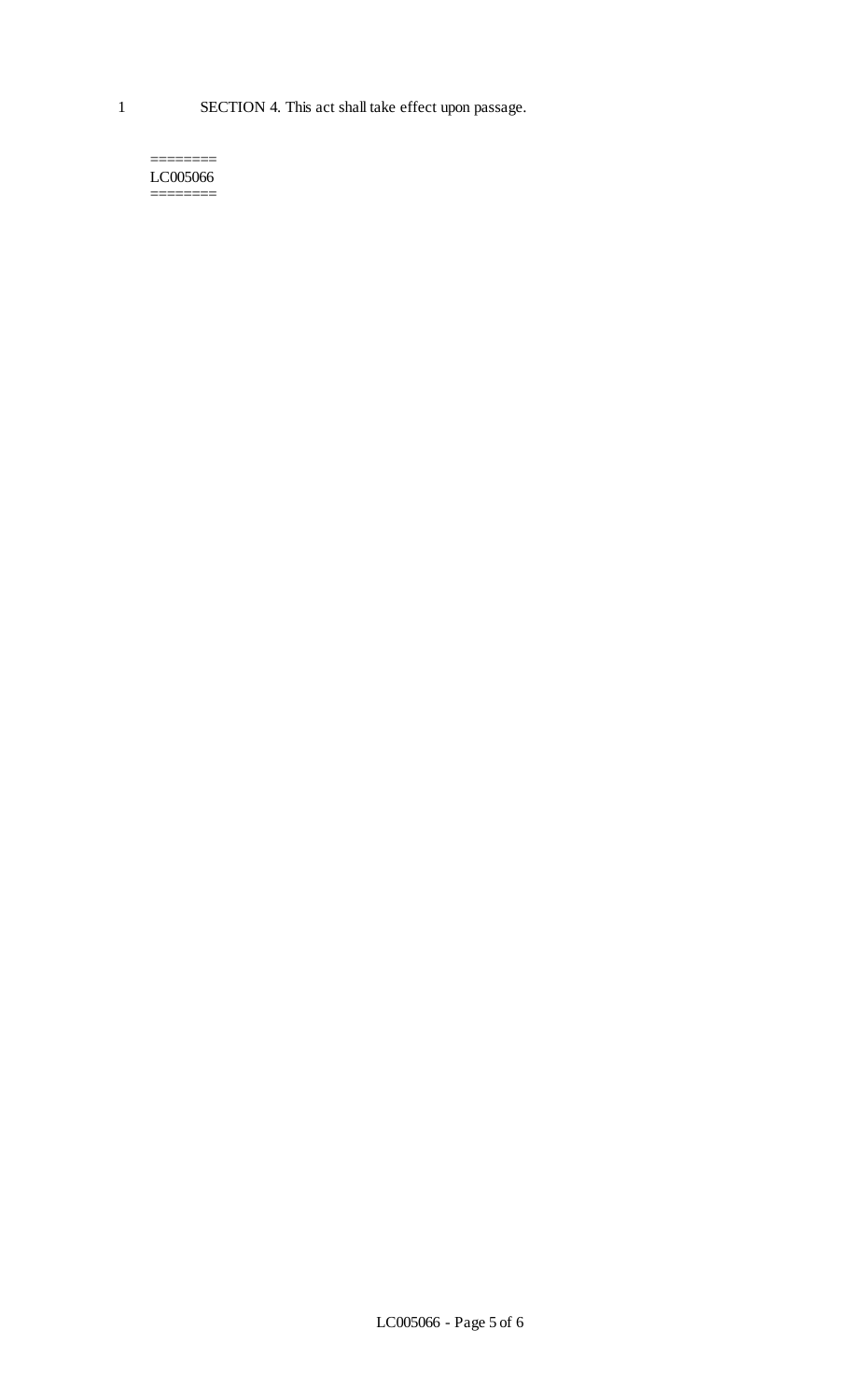1 SECTION 4. This act shall take effect upon passage.

======== LC005066 ========